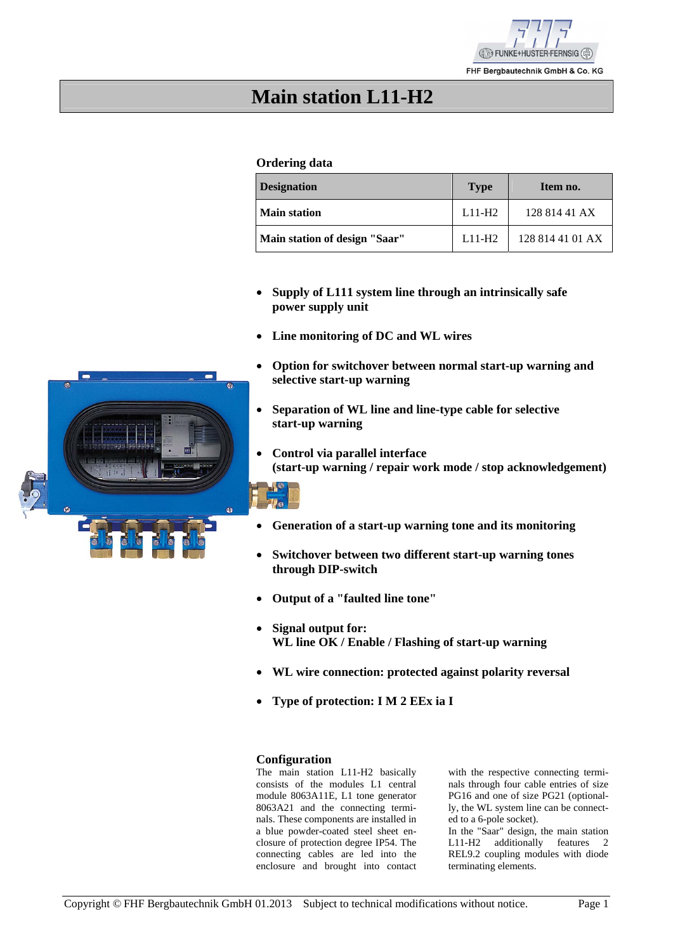

FHF Bergbautechnik GmbH & Co. KG

# **Main station L11-H2**

### **Ordering data**

| <b>Designation</b>            | <b>Type</b> | Item no.         |
|-------------------------------|-------------|------------------|
| <b>Main station</b>           | $L11-H2$    | 128 814 41 AX    |
| Main station of design "Saar" | $L11-H2$    | 128 814 41 01 AX |

- **Supply of L111 system line through an intrinsically safe power supply unit**
- **Line monitoring of DC and WL wires**
- **Option for switchover between normal start-up warning and selective start-up warning**
- **Separation of WL line and line-type cable for selective start-up warning**
- **Control via parallel interface (start-up warning / repair work mode / stop acknowledgement)**



- 
- **Generation of a start-up warning tone and its monitoring**
- **Switchover between two different start-up warning tones through DIP-switch**
- **Output of a "faulted line tone"**
- **Signal output for: WL line OK / Enable / Flashing of start-up warning**
- **WL wire connection: protected against polarity reversal**
- **Type of protection: I M 2 EEx ia I**

#### **Configuration**

The main station L11-H2 basically consists of the modules L1 central module 8063A11E, L1 tone generator 8063A21 and the connecting terminals. These components are installed in a blue powder-coated steel sheet enclosure of protection degree IP54. The connecting cables are led into the enclosure and brought into contact

with the respective connecting terminals through four cable entries of size PG16 and one of size PG21 (optionally, the WL system line can be connected to a 6-pole socket).

In the "Saar" design, the main station L11-H2 additionally features 2 REL9.2 coupling modules with diode terminating elements.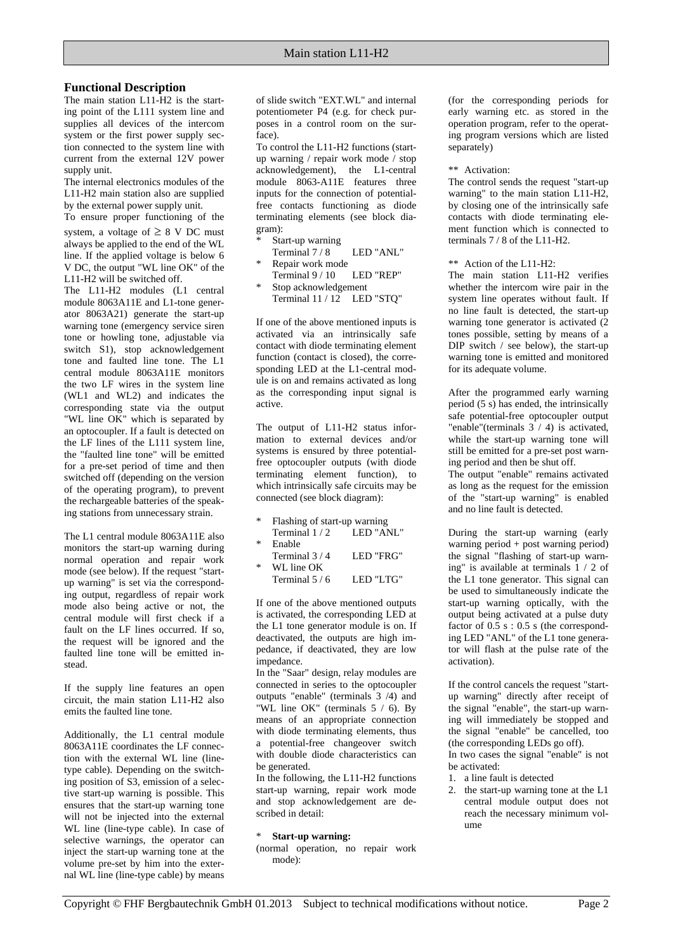### **Functional Description**

The main station L11-H2 is the starting point of the L111 system line and supplies all devices of the intercom system or the first power supply section connected to the system line with current from the external 12V power supply unit.

The internal electronics modules of the L11-H2 main station also are supplied by the external power supply unit.

To ensure proper functioning of the system, a voltage of  $\geq 8$  V DC must always be applied to the end of the WL line. If the applied voltage is below 6 V DC, the output "WL line OK" of the L11-H2 will be switched off.

The L11-H2 modules (L1 central module 8063A11E and L1-tone generator 8063A21) generate the start-up warning tone (emergency service siren tone or howling tone, adjustable via switch S1), stop acknowledgement tone and faulted line tone. The L1 central module 8063A11E monitors the two LF wires in the system line (WL1 and WL2) and indicates the corresponding state via the output "WL line OK" which is separated by an optocoupler. If a fault is detected on the LF lines of the L111 system line, the "faulted line tone" will be emitted for a pre-set period of time and then switched off (depending on the version of the operating program), to prevent the rechargeable batteries of the speaking stations from unnecessary strain.

The L1 central module 8063A11E also monitors the start-up warning during normal operation and repair work mode (see below). If the request "startup warning" is set via the corresponding output, regardless of repair work mode also being active or not, the central module will first check if a fault on the LF lines occurred. If so, the request will be ignored and the faulted line tone will be emitted instead.

If the supply line features an open circuit, the main station L11-H2 also emits the faulted line tone.

Additionally, the L1 central module 8063A11E coordinates the LF connection with the external WL line (linetype cable). Depending on the switching position of S3, emission of a selective start-up warning is possible. This ensures that the start-up warning tone will not be injected into the external WL line (line-type cable). In case of selective warnings, the operator can inject the start-up warning tone at the volume pre-set by him into the external WL line (line-type cable) by means

of slide switch "EXT.WL" and internal potentiometer P4 (e.g. for check purposes in a control room on the surface).

To control the L11-H2 functions (startup warning / repair work mode / stop acknowledgement), the L1-central module 8063-A11E features three inputs for the connection of potentialfree contacts functioning as diode terminating elements (see block diagram):

- Start-up warning Terminal  $7/8$  LED "ANL"
- Repair work mode Terminal 9 / 10 LED "REP"
- Stop acknowledgement Terminal 11 / 12 LED "STQ"

If one of the above mentioned inputs is activated via an intrinsically safe contact with diode terminating element function (contact is closed), the corresponding LED at the L1-central module is on and remains activated as long as the corresponding input signal is active.

The output of L11-H2 status information to external devices and/or systems is ensured by three potentialfree optocoupler outputs (with diode terminating element function), to which intrinsically safe circuits may be connected (see block diagram):

- Flashing of start-up warning Terminal  $1/2$  LED "ANL"
- **Enable**
- Terminal 3/4 LED "FRG"  $W$ Lline OK Terminal  $5/6$  LED "LTG"

If one of the above mentioned outputs is activated, the corresponding LED at the L1 tone generator module is on. If deactivated, the outputs are high impedance, if deactivated, they are low

impedance. In the "Saar" design, relay modules are connected in series to the optocoupler outputs "enable" (terminals  $3/4$ ) and "WL line OK" (terminals 5 / 6). By means of an appropriate connection with diode terminating elements, thus a potential-free changeover switch with double diode characteristics can be generated.

In the following, the L11-H2 functions start-up warning, repair work mode and stop acknowledgement are described in detail:

#### \* **Start-up warning:**

(normal operation, no repair work mode):

(for the corresponding periods for early warning etc. as stored in the operation program, refer to the operating program versions which are listed separately)

#### \*\* Activation:

The control sends the request "start-up warning" to the main station L11-H2, by closing one of the intrinsically safe contacts with diode terminating element function which is connected to terminals 7 / 8 of the L11-H2.

\*\* Action of the L11-H2:

The main station L11-H2 verifies whether the intercom wire pair in the system line operates without fault. If no line fault is detected, the start-up warning tone generator is activated (2 tones possible, setting by means of a DIP switch / see below), the start-up warning tone is emitted and monitored for its adequate volume.

After the programmed early warning period  $(5 s)$  has ended, the intrinsically safe potential-free optocoupler output "enable"(terminals 3 / 4) is activated, while the start-up warning tone will still be emitted for a pre-set post warning period and then be shut off.

The output "enable" remains activated as long as the request for the emission of the "start-up warning" is enabled and no line fault is detected.

During the start-up warning (early warning period + post warning period) the signal "flashing of start-up warning" is available at terminals  $\overline{1}$  / 2 of the L1 tone generator. This signal can be used to simultaneously indicate the start-up warning optically, with the output being activated at a pulse duty factor of  $0.5$  s :  $0.5$  s (the corresponding LED "ANL" of the L1 tone generator will flash at the pulse rate of the activation).

If the control cancels the request "startup warning" directly after receipt of the signal "enable", the start-up warning will immediately be stopped and the signal "enable" be cancelled, too (the corresponding LEDs go off).

In two cases the signal "enable" is not be activated:

- 1. a line fault is detected
- 2. the start-up warning tone at the L1 central module output does not reach the necessary minimum volume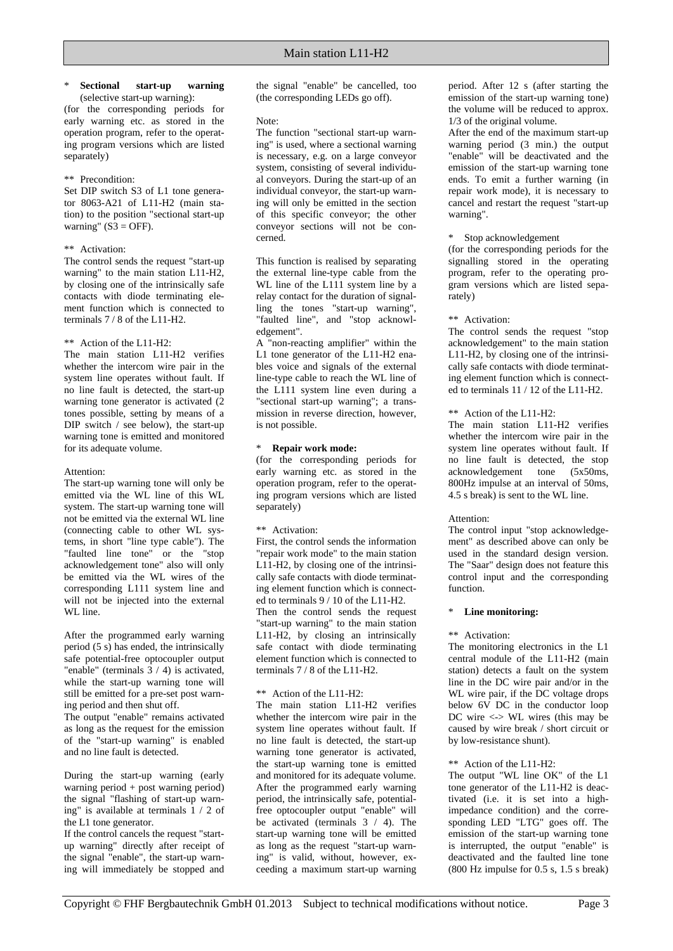#### \* **Sectional start-up warning**

(selective start-up warning): (for the corresponding periods for early warning etc. as stored in the operation program, refer to the operating program versions which are listed separately)

#### \*\* Precondition:

Set DIP switch S3 of L1 tone generator 8063-A21 of L11-H2 (main station) to the position "sectional start-up warning"  $(S3 = OFF)$ .

#### \*\* Activation:

The control sends the request "start-up warning" to the main station L11-H2, by closing one of the intrinsically safe contacts with diode terminating element function which is connected to terminals 7 / 8 of the L11-H2.

#### \*\* Action of the L11-H2:

The main station L11-H2 verifies whether the intercom wire pair in the system line operates without fault. If no line fault is detected, the start-up warning tone generator is activated (2 tones possible, setting by means of a DIP switch  $/$  see below), the start-up warning tone is emitted and monitored for its adequate volume.

#### Attention:

The start-up warning tone will only be emitted via the WL line of this WL system. The start-up warning tone will not be emitted via the external WL line (connecting cable to other WL systems, in short "line type cable"). The "faulted line tone" or the "stop acknowledgement tone" also will only be emitted via the WL wires of the corresponding L111 system line and will not be injected into the external WL line.

After the programmed early warning period (5 s) has ended, the intrinsically safe potential-free optocoupler output "enable" (terminals  $3 / 4$ ) is activated, while the start-up warning tone will still be emitted for a pre-set post warning period and then shut off.

The output "enable" remains activated as long as the request for the emission of the "start-up warning" is enabled and no line fault is detected.

During the start-up warning (early warning period + post warning period) the signal "flashing of start-up warning" is available at terminals 1 / 2 of the L1 tone generator.

If the control cancels the request "startup warning" directly after receipt of the signal "enable", the start-up warning will immediately be stopped and the signal "enable" be cancelled, too (the corresponding LEDs go off).

#### Note:

The function "sectional start-up warning" is used, where a sectional warning is necessary, e.g. on a large conveyor system, consisting of several individual conveyors. During the start-up of an individual conveyor, the start-up warning will only be emitted in the section of this specific conveyor; the other conveyor sections will not be concerned.

This function is realised by separating the external line-type cable from the WL line of the L111 system line by a relay contact for the duration of signalling the tones "start-up warning", "faulted line", and "stop acknowledgement".

A "non-reacting amplifier" within the L1 tone generator of the L11-H2 enables voice and signals of the external line-type cable to reach the WL line of the L111 system line even during a "sectional start-up warning"; a transmission in reverse direction, however, is not possible.

#### \* **Repair work mode:**

(for the corresponding periods for early warning etc. as stored in the operation program, refer to the operating program versions which are listed separately)

#### \*\* Activation:

First, the control sends the information "repair work mode" to the main station L11-H2, by closing one of the intrinsically safe contacts with diode terminating element function which is connected to terminals 9 / 10 of the L11-H2. Then the control sends the request "start-up warning" to the main station L11-H2, by closing an intrinsically safe contact with diode terminating element function which is connected to terminals 7 / 8 of the L11-H2.

#### \*\* Action of the L11-H2:

The main station L11-H2 verifies whether the intercom wire pair in the system line operates without fault. If no line fault is detected, the start-up warning tone generator is activated, the start-up warning tone is emitted and monitored for its adequate volume. After the programmed early warning period, the intrinsically safe, potentialfree optocoupler output "enable" will be activated (terminals  $3 / 4$ ). The start-up warning tone will be emitted as long as the request "start-up warning" is valid, without, however, exceeding a maximum start-up warning period. After 12 s (after starting the emission of the start-up warning tone) the volume will be reduced to approx. 1/3 of the original volume.

After the end of the maximum start-up warning period (3 min.) the output "enable" will be deactivated and the emission of the start-up warning tone ends. To emit a further warning (in repair work mode), it is necessary to cancel and restart the request "start-up warning".

#### \* Stop acknowledgement

(for the corresponding periods for the signalling stored in the operating program, refer to the operating program versions which are listed separately)

#### \*\* Activation:

The control sends the request "stop acknowledgement" to the main station L11-H2, by closing one of the intrinsically safe contacts with diode terminating element function which is connected to terminals 11 / 12 of the L11-H2.

#### \*\* Action of the L11-H2:

The main station L11-H2 verifies whether the intercom wire pair in the system line operates without fault. If no line fault is detected, the stop acknowledgement tone (5x50ms, 800Hz impulse at an interval of 50ms, 4.5 s break) is sent to the WL line.

#### Attention:

The control input "stop acknowledgement" as described above can only be used in the standard design version. The "Saar" design does not feature this control input and the corresponding function.

#### \* **Line monitoring:**

#### \*\* Activation:

The monitoring electronics in the L1 central module of the L11-H2 (main station) detects a fault on the system line in the DC wire pair and/or in the WL wire pair, if the DC voltage drops below 6V DC in the conductor loop DC wire <-> WL wires (this may be caused by wire break / short circuit or by low-resistance shunt).

#### \*\* Action of the L11-H2:

The output "WL line OK" of the L1 tone generator of the L11-H2 is deactivated (i.e. it is set into a highimpedance condition) and the corresponding LED "LTG" goes off. The emission of the start-up warning tone is interrupted, the output "enable" is deactivated and the faulted line tone (800 Hz impulse for 0.5 s, 1.5 s break)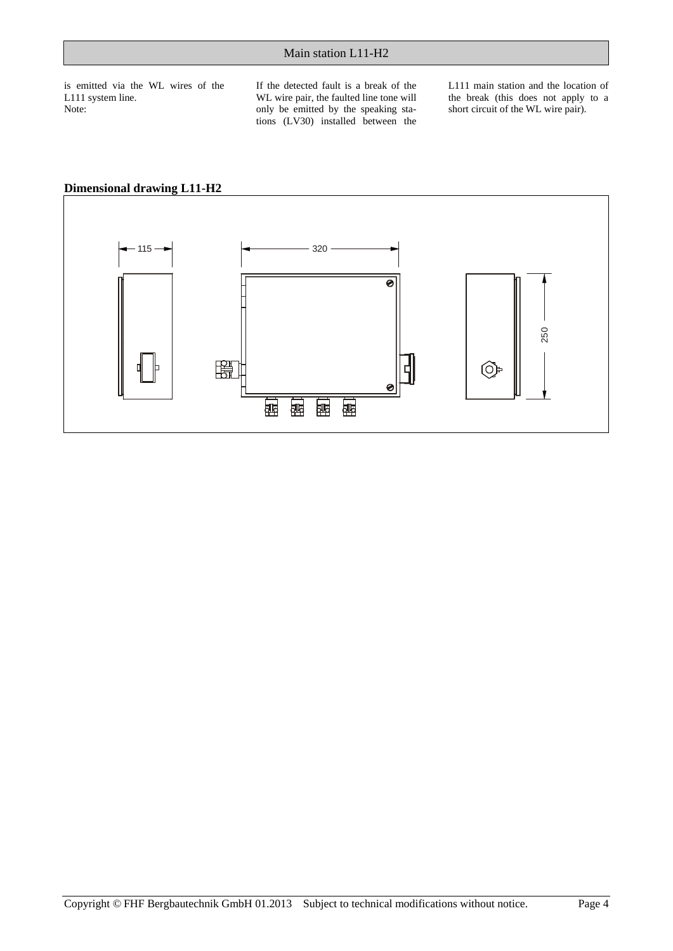is emitted via the WL wires of the L111 system line. Note:

If the detected fault is a break of the WL wire pair, the faulted line tone will only be emitted by the speaking stations (LV30) installed between the L111 main station and the location of the break (this does not apply to a short circuit of the WL wire pair).



### **Dimensional drawing L11-H2**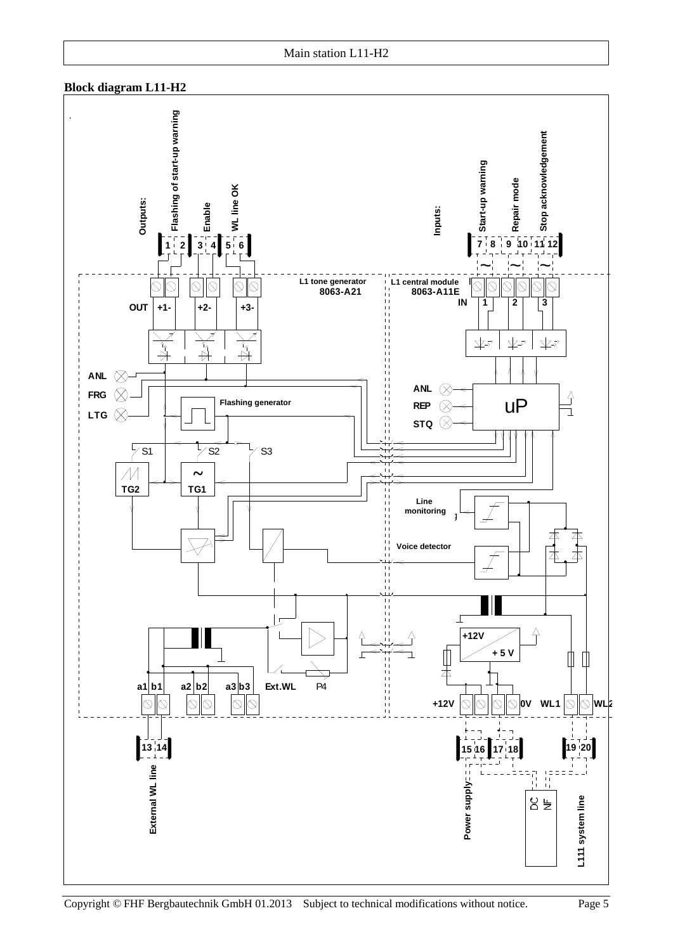### **Block diagram L11-H2**

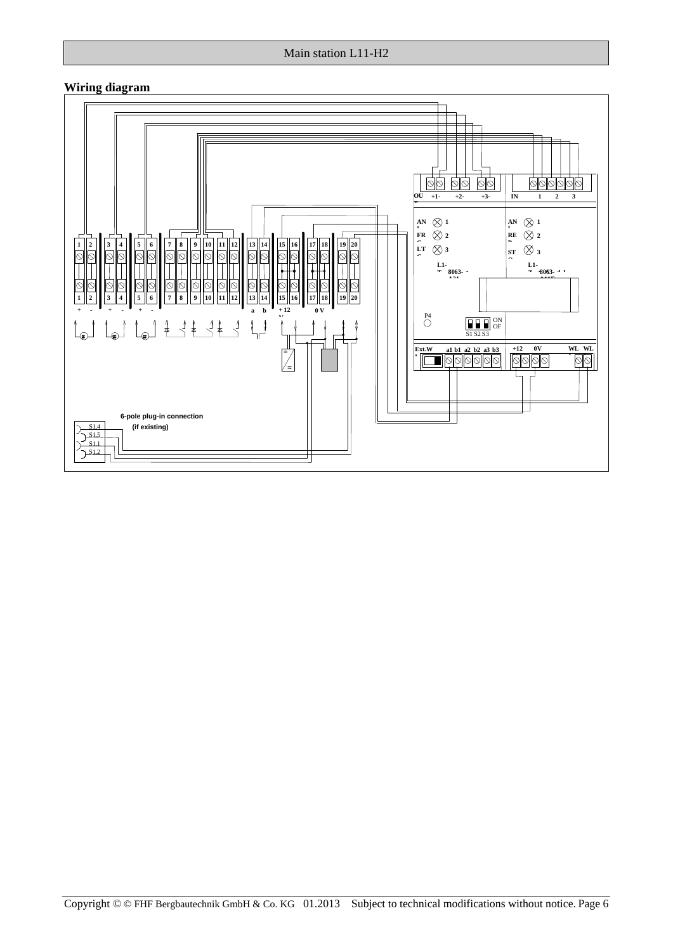### Main station L11-H2

### **Wiring diagram**

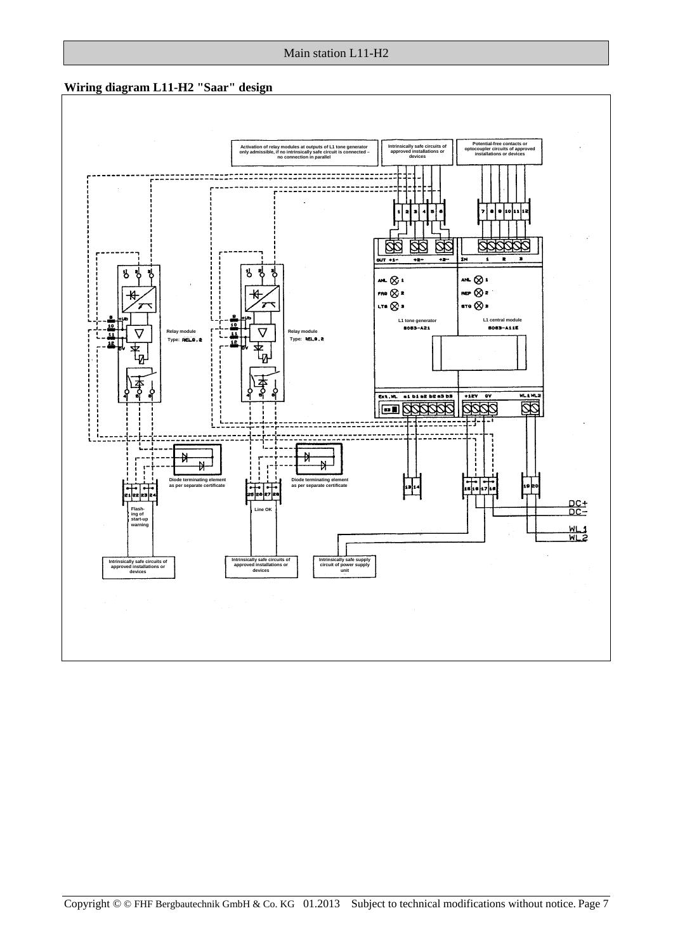

# Copyright © © FHF Bergbautechnik GmbH & Co. KG 01.2013 Subject to technical modifications without notice. Page 7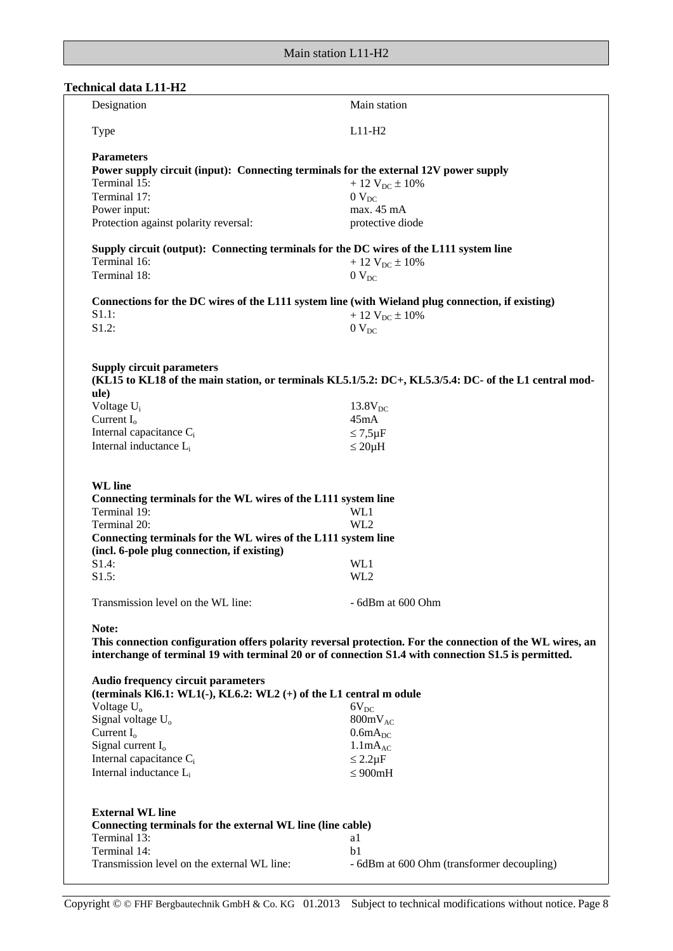# **Technical data L11-H2**

| Type                                                                                                            | $L11-H2$                                                                                                  |
|-----------------------------------------------------------------------------------------------------------------|-----------------------------------------------------------------------------------------------------------|
| <b>Parameters</b>                                                                                               |                                                                                                           |
| Power supply circuit (input): Connecting terminals for the external 12V power supply                            |                                                                                                           |
| Terminal 15:                                                                                                    | $+12$ V <sub>DC</sub> $\pm 10\%$                                                                          |
| Terminal 17:                                                                                                    | $0$ $V_{DC}$                                                                                              |
| Power input:                                                                                                    | max. 45 mA                                                                                                |
| Protection against polarity reversal:                                                                           | protective diode                                                                                          |
|                                                                                                                 |                                                                                                           |
| Supply circuit (output): Connecting terminals for the DC wires of the L111 system line                          |                                                                                                           |
| Terminal 16:                                                                                                    | $+12$ V <sub>DC</sub> $\pm 10\%$                                                                          |
| Terminal 18:                                                                                                    | $0$ V <sub>DC</sub>                                                                                       |
|                                                                                                                 |                                                                                                           |
| Connections for the DC wires of the L111 system line (with Wieland plug connection, if existing)                |                                                                                                           |
| S1.1:                                                                                                           | $+12$ V <sub>DC</sub> $\pm 10\%$                                                                          |
| S1.2:                                                                                                           | $0$ V <sub>DC</sub>                                                                                       |
|                                                                                                                 |                                                                                                           |
|                                                                                                                 |                                                                                                           |
| <b>Supply circuit parameters</b>                                                                                |                                                                                                           |
|                                                                                                                 | (KL15 to KL18 of the main station, or terminals KL5.1/5.2: DC+, KL5.3/5.4: DC- of the L1 central mod-     |
| ule)                                                                                                            |                                                                                                           |
| Voltage U <sub>i</sub>                                                                                          | $13.8V_{DC}$                                                                                              |
| Current $I_0$                                                                                                   | 45mA                                                                                                      |
| Internal capacitance C <sub>i</sub>                                                                             | $\leq 7.5 \mu F$                                                                                          |
| Internal inductance L <sub>i</sub>                                                                              |                                                                                                           |
|                                                                                                                 | $\leq 20\mu H$                                                                                            |
| <b>WL</b> line<br>Connecting terminals for the WL wires of the L111 system line<br>Terminal 19:<br>Terminal 20: | WL1<br>WL <sub>2</sub>                                                                                    |
| Connecting terminals for the WL wires of the L111 system line                                                   |                                                                                                           |
| (incl. 6-pole plug connection, if existing)                                                                     |                                                                                                           |
| S1.4:                                                                                                           | WL1                                                                                                       |
| S1.5:                                                                                                           | WL2                                                                                                       |
|                                                                                                                 |                                                                                                           |
| Transmission level on the WL line:                                                                              | - 6dBm at 600 Ohm                                                                                         |
| Note:                                                                                                           |                                                                                                           |
|                                                                                                                 | This connection configuration offers polarity reversal protection. For the connection of the WL wires, an |
| interchange of terminal 19 with terminal 20 or of connection S1.4 with connection S1.5 is permitted.            |                                                                                                           |
|                                                                                                                 |                                                                                                           |
| <b>Audio frequency circuit parameters</b>                                                                       |                                                                                                           |
| (terminals Kl6.1: WL1(-), KL6.2: WL2 (+) of the L1 central m odule                                              |                                                                                                           |
| Voltage $U_0$                                                                                                   | $6V_{DC}$                                                                                                 |
| Signal voltage U <sub>o</sub>                                                                                   | $800mV_{AC}$                                                                                              |
| Current $I_0$                                                                                                   | $0.6mA_{DC}$                                                                                              |
| Signal current $I_0$                                                                                            | 1.1mA <sub>AC</sub>                                                                                       |
| Internal capacitance C <sub>i</sub>                                                                             | $\leq 2.2 \mu F$                                                                                          |
| Internal inductance L <sub>i</sub>                                                                              | $\leq 900$ mH                                                                                             |
|                                                                                                                 |                                                                                                           |
|                                                                                                                 |                                                                                                           |
| <b>External WL line</b><br>Connecting terminals for the external WL line (line cable)                           |                                                                                                           |
| Terminal 13:                                                                                                    | a1                                                                                                        |
| Terminal 14:                                                                                                    | b1                                                                                                        |
|                                                                                                                 |                                                                                                           |
| Transmission level on the external WL line:                                                                     | - 6dBm at 600 Ohm (transformer decoupling)                                                                |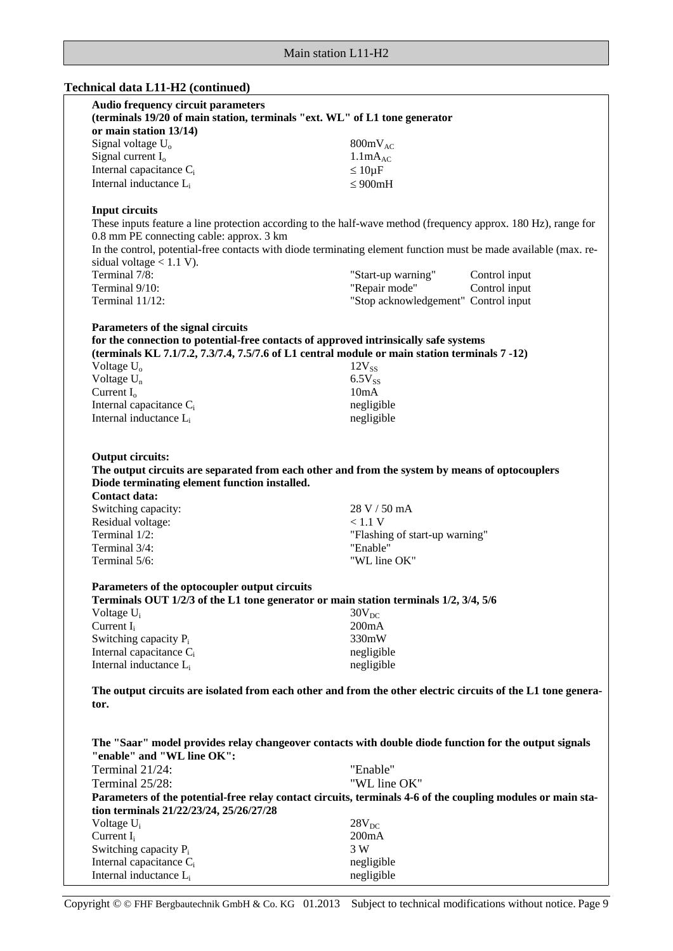# **Technical data L11-H2 (continued)**

| <b>Audio frequency circuit parameters</b><br>(terminals 19/20 of main station, terminals "ext. WL" of L1 tone generator                                                                                                                        |                                                                                                                  |
|------------------------------------------------------------------------------------------------------------------------------------------------------------------------------------------------------------------------------------------------|------------------------------------------------------------------------------------------------------------------|
|                                                                                                                                                                                                                                                |                                                                                                                  |
| or main station 13/14)                                                                                                                                                                                                                         |                                                                                                                  |
| Signal voltage U <sub>o</sub>                                                                                                                                                                                                                  | $800mV_{AC}$                                                                                                     |
| Signal current I <sub>o</sub>                                                                                                                                                                                                                  | 1.1mA <sub>AC</sub>                                                                                              |
| Internal capacitance $C_i$                                                                                                                                                                                                                     | $\leq 10 \mu F$                                                                                                  |
| Internal inductance L <sub>i</sub>                                                                                                                                                                                                             | $\leq 900$ mH                                                                                                    |
| <b>Input circuits</b>                                                                                                                                                                                                                          |                                                                                                                  |
|                                                                                                                                                                                                                                                | These inputs feature a line protection according to the half-wave method (frequency approx. 180 Hz), range for   |
| 0.8 mm PE connecting cable: approx. 3 km                                                                                                                                                                                                       |                                                                                                                  |
|                                                                                                                                                                                                                                                | In the control, potential-free contacts with diode terminating element function must be made available (max. re- |
| sidual voltage $< 1.1 V$ ).                                                                                                                                                                                                                    |                                                                                                                  |
| Terminal 7/8:                                                                                                                                                                                                                                  | "Start-up warning"<br>Control input                                                                              |
| Terminal 9/10:                                                                                                                                                                                                                                 | "Repair mode"<br>Control input                                                                                   |
| Terminal 11/12:                                                                                                                                                                                                                                | "Stop acknowledgement" Control input                                                                             |
| Parameters of the signal circuits                                                                                                                                                                                                              |                                                                                                                  |
| for the connection to potential-free contacts of approved intrinsically safe systems                                                                                                                                                           |                                                                                                                  |
| (terminals KL $7.1/7.2$ , $7.3/7.4$ , $7.5/7.6$ of L1 central module or main station terminals $7-12$ )                                                                                                                                        |                                                                                                                  |
| Voltage $U_0$                                                                                                                                                                                                                                  | $12V_{SS}$                                                                                                       |
| Voltage U <sub>n</sub>                                                                                                                                                                                                                         | $6.5V_{SS}$                                                                                                      |
| Current $I_0$                                                                                                                                                                                                                                  | 10mA                                                                                                             |
| Internal capacitance C <sub>i</sub>                                                                                                                                                                                                            | negligible                                                                                                       |
| Internal inductance L <sub>i</sub>                                                                                                                                                                                                             | negligible                                                                                                       |
| <b>Output circuits:</b><br>The output circuits are separated from each other and from the system by means of optocouplers<br>Diode terminating element function installed.<br><b>Contact data:</b><br>Switching capacity:<br>Residual voltage: | 28 V / 50 mA<br>< 1.1 V                                                                                          |
|                                                                                                                                                                                                                                                |                                                                                                                  |
| Terminal 1/2:                                                                                                                                                                                                                                  | "Flashing of start-up warning"                                                                                   |
| Terminal 3/4:<br>Terminal 5/6:                                                                                                                                                                                                                 | "Enable"<br>"WL line OK"                                                                                         |
|                                                                                                                                                                                                                                                |                                                                                                                  |
| Parameters of the optocoupler output circuits<br>Terminals OUT 1/2/3 of the L1 tone generator or main station terminals 1/2, 3/4, 5/6                                                                                                          |                                                                                                                  |
| Voltage $U_i$                                                                                                                                                                                                                                  | $30V_{DC}$                                                                                                       |
| Current $I_i$                                                                                                                                                                                                                                  | 200mA                                                                                                            |
| Switching capacity $P_i$                                                                                                                                                                                                                       | 330mW                                                                                                            |
| Internal capacitance C <sub>i</sub>                                                                                                                                                                                                            | negligible                                                                                                       |
| Internal inductance L <sub>i</sub>                                                                                                                                                                                                             | negligible                                                                                                       |
| tor.                                                                                                                                                                                                                                           | The output circuits are isolated from each other and from the other electric circuits of the L1 tone genera-     |
| The "Saar" model provides relay changeover contacts with double diode function for the output signals<br>"enable" and "WL line OK":                                                                                                            |                                                                                                                  |
| Terminal 21/24:                                                                                                                                                                                                                                | "Enable"                                                                                                         |
| Terminal 25/28:                                                                                                                                                                                                                                | "WL line OK"                                                                                                     |
|                                                                                                                                                                                                                                                | Parameters of the potential-free relay contact circuits, terminals 4-6 of the coupling modules or main sta-      |
| tion terminals 21/22/23/24, 25/26/27/28                                                                                                                                                                                                        |                                                                                                                  |
| Voltage U <sub>i</sub>                                                                                                                                                                                                                         | $28V_{DC}$                                                                                                       |
| Current $I_i$                                                                                                                                                                                                                                  | 200mA                                                                                                            |
| Switching capacity P <sub>i</sub>                                                                                                                                                                                                              | 3 W                                                                                                              |
| Internal capacitance $C_i$                                                                                                                                                                                                                     | negligible                                                                                                       |
| Internal inductance L <sub>i</sub>                                                                                                                                                                                                             | negligible                                                                                                       |

Copyright © © FHF Bergbautechnik GmbH & Co. KG 01.2013 Subject to technical modifications without notice. Page 9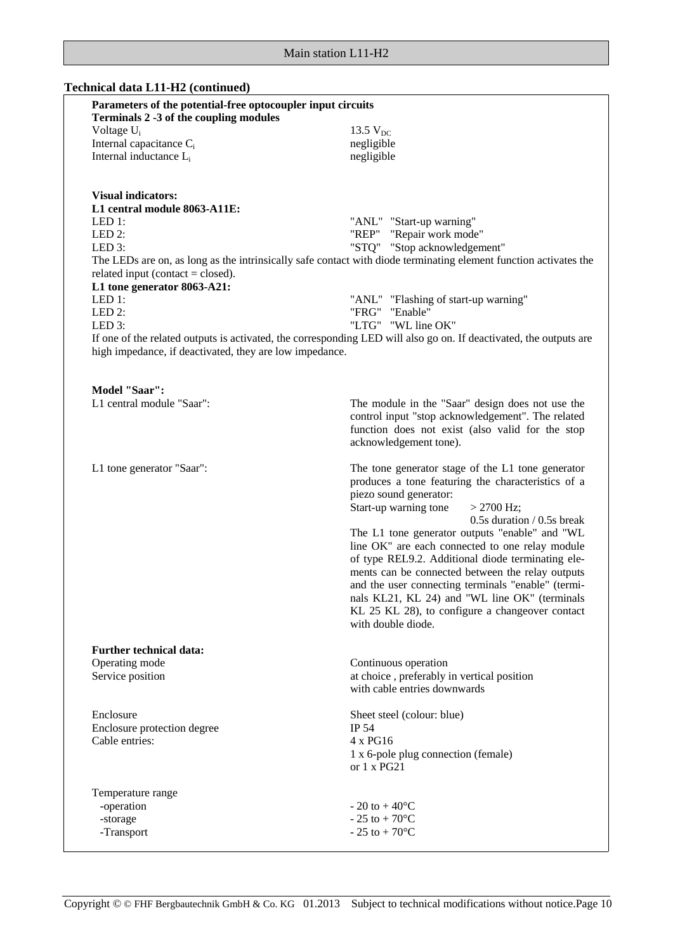# **Technical data L11-H2 (continued)**

| Parameters of the potential-free optocoupler input circuits<br>Terminals 2 -3 of the coupling modules |                                                                                                                    |
|-------------------------------------------------------------------------------------------------------|--------------------------------------------------------------------------------------------------------------------|
| Voltage U <sub>i</sub>                                                                                | 13.5 $V_{DC}$                                                                                                      |
| Internal capacitance C <sub>i</sub>                                                                   | negligible                                                                                                         |
| Internal inductance L <sub>i</sub>                                                                    | negligible                                                                                                         |
|                                                                                                       |                                                                                                                    |
| <b>Visual indicators:</b><br>L1 central module 8063-A11E:                                             |                                                                                                                    |
| LED 1:                                                                                                | "ANL" "Start-up warning"                                                                                           |
| LED 2:                                                                                                | "REP" "Repair work mode"                                                                                           |
| LED 3:                                                                                                | "STQ" "Stop acknowledgement"                                                                                       |
| related input (contact = closed).                                                                     | The LEDs are on, as long as the intrinsically safe contact with diode terminating element function activates the   |
| L1 tone generator 8063-A21:                                                                           |                                                                                                                    |
| LED 1:                                                                                                | "ANL" "Flashing of start-up warning"                                                                               |
| LED $2$ :                                                                                             | "FRG" "Enable"                                                                                                     |
| LED 3:                                                                                                | "LTG" "WL line OK"                                                                                                 |
| high impedance, if deactivated, they are low impedance.                                               | If one of the related outputs is activated, the corresponding LED will also go on. If deactivated, the outputs are |
|                                                                                                       |                                                                                                                    |
| Model "Saar":                                                                                         |                                                                                                                    |
| L1 central module "Saar":                                                                             | The module in the "Saar" design does not use the                                                                   |
|                                                                                                       | control input "stop acknowledgement". The related                                                                  |
|                                                                                                       | function does not exist (also valid for the stop                                                                   |
|                                                                                                       | acknowledgement tone).                                                                                             |
| L1 tone generator "Saar":                                                                             | The tone generator stage of the L1 tone generator                                                                  |
|                                                                                                       | produces a tone featuring the characteristics of a                                                                 |
|                                                                                                       | piezo sound generator:                                                                                             |
|                                                                                                       | Start-up warning tone<br>$>$ 2700 Hz;                                                                              |
|                                                                                                       | 0.5s duration / 0.5s break                                                                                         |
|                                                                                                       | The L1 tone generator outputs "enable" and "WL                                                                     |
|                                                                                                       | line OK" are each connected to one relay module                                                                    |
|                                                                                                       | of type REL9.2. Additional diode terminating ele-                                                                  |
|                                                                                                       | ments can be connected between the relay outputs<br>and the user connecting terminals "enable" (termi-             |
|                                                                                                       | nals KL21, KL 24) and "WL line OK" (terminals                                                                      |
|                                                                                                       | KL 25 KL 28), to configure a changeover contact                                                                    |
|                                                                                                       | with double diode.                                                                                                 |
| <b>Further technical data:</b>                                                                        |                                                                                                                    |
| Operating mode                                                                                        | Continuous operation                                                                                               |
| Service position                                                                                      | at choice, preferably in vertical position                                                                         |
|                                                                                                       | with cable entries downwards                                                                                       |
| Enclosure                                                                                             | Sheet steel (colour: blue)                                                                                         |
| Enclosure protection degree                                                                           | IP 54                                                                                                              |
| Cable entries:                                                                                        | 4 x PG16                                                                                                           |
|                                                                                                       | 1 x 6-pole plug connection (female)                                                                                |
|                                                                                                       | or $1 \times PG21$                                                                                                 |
| Temperature range                                                                                     |                                                                                                                    |
| -operation                                                                                            | $-20$ to $+40^{\circ}$ C                                                                                           |
| -storage                                                                                              | $-25$ to $+70^{\circ}$ C                                                                                           |
| -Transport                                                                                            | $-25$ to $+70^{\circ}$ C                                                                                           |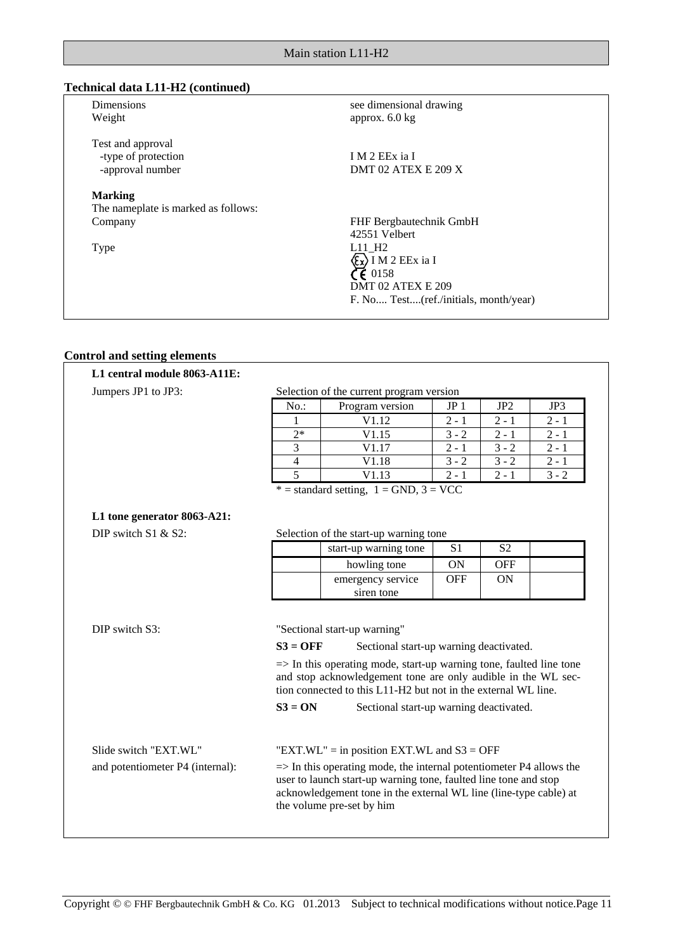# **Technical data L11-H2 (continued)**

| <b>Dimensions</b><br>Weight                                  | see dimensional drawing<br>approx. $6.0 \text{ kg}$ |
|--------------------------------------------------------------|-----------------------------------------------------|
| Test and approval<br>-type of protection<br>-approval number | I M 2 EEx ia I<br>DMT 02 ATEX E 209 X               |
| <b>Marking</b>                                               |                                                     |
| The nameplate is marked as follows:                          |                                                     |
| Company                                                      | FHF Bergbautechnik GmbH                             |
|                                                              | 42551 Velbert                                       |
| <b>Type</b>                                                  | $L11$ H <sub>2</sub>                                |
|                                                              | I M 2 EEx ia I                                      |
|                                                              | CE 0158                                             |
|                                                              | DMT 02 ATEX E 209                                   |
|                                                              | F. No Test(ref./initials, month/year)               |
|                                                              |                                                     |

# **Control and setting elements**

| Jumpers JP1 to JP3:              |                                                                                                                                                                                                                                                                                                      | Selection of the current program version                                |                 |                 |         |
|----------------------------------|------------------------------------------------------------------------------------------------------------------------------------------------------------------------------------------------------------------------------------------------------------------------------------------------------|-------------------------------------------------------------------------|-----------------|-----------------|---------|
|                                  | No.:                                                                                                                                                                                                                                                                                                 | Program version                                                         | JP <sub>1</sub> | JP <sub>2</sub> | JP3     |
|                                  | 1                                                                                                                                                                                                                                                                                                    | V1.12                                                                   | $2 - 1$         | $2 - 1$         | $2 - 1$ |
|                                  | $2*$                                                                                                                                                                                                                                                                                                 | V1.15                                                                   | $3 - 2$         | $2 - 1$         | $2 - 1$ |
|                                  | 3                                                                                                                                                                                                                                                                                                    | V1.17                                                                   | $2 - 1$         | $3 - 2$         | $2 - 1$ |
|                                  | $\overline{4}$                                                                                                                                                                                                                                                                                       | V1.18                                                                   | $3 - 2$         | $3 - 2$         | $2 - 1$ |
|                                  | 5                                                                                                                                                                                                                                                                                                    | V1.13                                                                   | $2 - 1$         | $2 - 1$         | $3 - 2$ |
|                                  |                                                                                                                                                                                                                                                                                                      | $* =$ standard setting, $1 =$ GND, $3 =$ VCC                            |                 |                 |         |
|                                  |                                                                                                                                                                                                                                                                                                      |                                                                         |                 |                 |         |
| L1 tone generator 8063-A21:      |                                                                                                                                                                                                                                                                                                      |                                                                         |                 |                 |         |
| DIP switch $S1 &$ & $S2$ :       |                                                                                                                                                                                                                                                                                                      | Selection of the start-up warning tone                                  |                 |                 |         |
|                                  |                                                                                                                                                                                                                                                                                                      | start-up warning tone                                                   | S <sub>1</sub>  | S <sub>2</sub>  |         |
|                                  |                                                                                                                                                                                                                                                                                                      | howling tone                                                            | <b>ON</b>       | <b>OFF</b>      |         |
|                                  |                                                                                                                                                                                                                                                                                                      | emergency service                                                       | <b>OFF</b>      | <b>ON</b>       |         |
|                                  |                                                                                                                                                                                                                                                                                                      | siren tone                                                              |                 |                 |         |
| DIP switch S3:                   | $S3 = OFF$                                                                                                                                                                                                                                                                                           | "Sectional start-up warning"<br>Sectional start-up warning deactivated. |                 |                 |         |
|                                  | $\Rightarrow$ In this operating mode, start-up warning tone, faulted line tone<br>and stop acknowledgement tone are only audible in the WL sec-<br>tion connected to this L11-H2 but not in the external WL line.                                                                                    |                                                                         |                 |                 |         |
|                                  | $S3 = ON$<br>Sectional start-up warning deactivated.                                                                                                                                                                                                                                                 |                                                                         |                 |                 |         |
| Slide switch "EXT.WL"            | "EXT.WL" = in position EXT.WL and $S3 = OFF$<br>$\Rightarrow$ In this operating mode, the internal potentiometer P4 allows the<br>user to launch start-up warning tone, faulted line tone and stop<br>acknowledgement tone in the external WL line (line-type cable) at<br>the volume pre-set by him |                                                                         |                 |                 |         |
| and potentiometer P4 (internal): |                                                                                                                                                                                                                                                                                                      |                                                                         |                 |                 |         |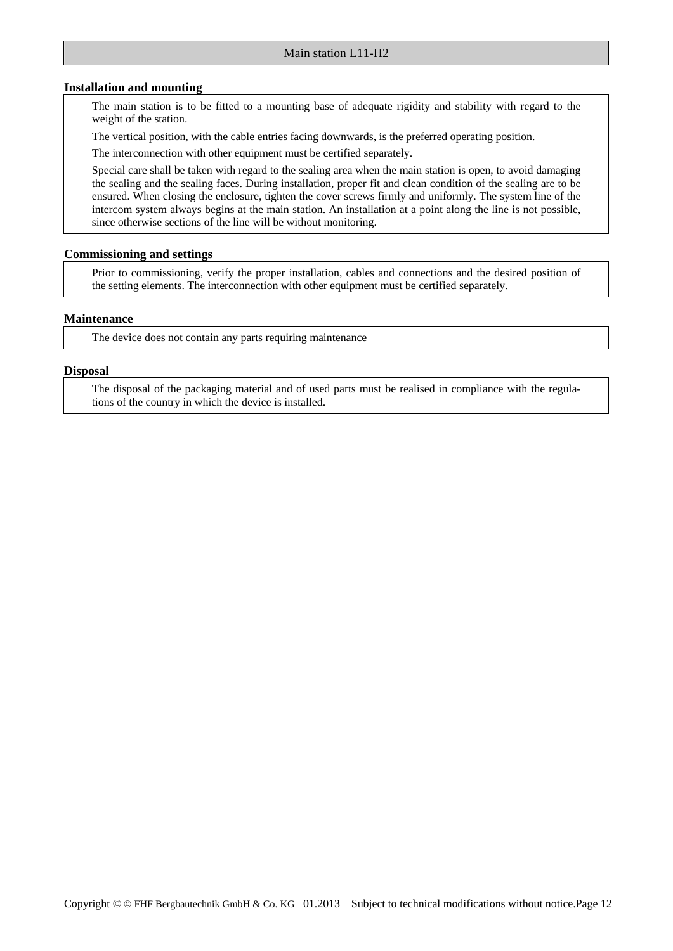#### **Installation and mounting**

The main station is to be fitted to a mounting base of adequate rigidity and stability with regard to the weight of the station.

The vertical position, with the cable entries facing downwards, is the preferred operating position.

The interconnection with other equipment must be certified separately.

Special care shall be taken with regard to the sealing area when the main station is open, to avoid damaging the sealing and the sealing faces. During installation, proper fit and clean condition of the sealing are to be ensured. When closing the enclosure, tighten the cover screws firmly and uniformly. The system line of the intercom system always begins at the main station. An installation at a point along the line is not possible, since otherwise sections of the line will be without monitoring.

### **Commissioning and settings**

Prior to commissioning, verify the proper installation, cables and connections and the desired position of the setting elements. The interconnection with other equipment must be certified separately.

#### **Maintenance**

The device does not contain any parts requiring maintenance

#### **Disposal**

The disposal of the packaging material and of used parts must be realised in compliance with the regulations of the country in which the device is installed.